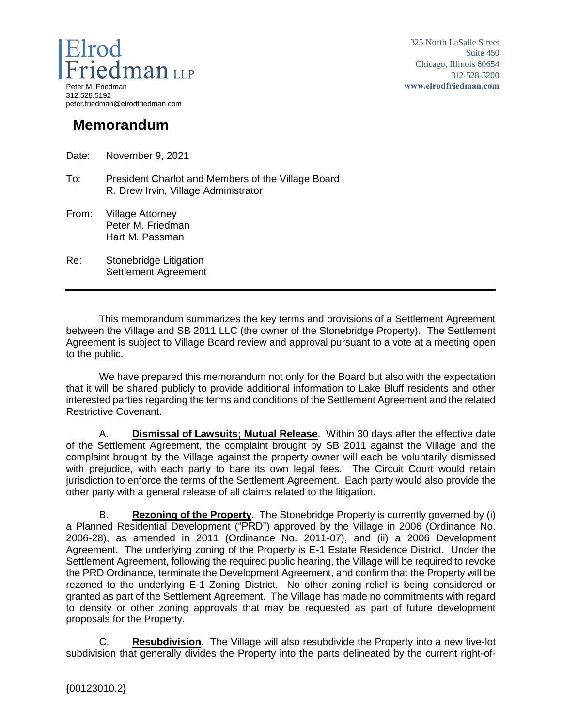

325 North LaSalle Street Suite 450 Chicago, Illinois 60654 312-528-5200 **www.elrodfriedman.com**

## **Memorandum**

Date: November 9, 2021

- To: President Charlot and Members of the Village Board R. Drew Irvin, Village Administrator
- From: Village Attorney Peter M. Friedman Hart M. Passman
- Re: Stonebridge Litigation Settlement Agreement

This memorandum summarizes the key terms and provisions of a Settlement Agreement between the Village and SB 2011 LLC (the owner of the Stonebridge Property). The Settlement Agreement is subject to Village Board review and approval pursuant to a vote at a meeting open to the public.

We have prepared this memorandum not only for the Board but also with the expectation that it will be shared publicly to provide additional information to Lake Bluff residents and other interested parties regarding the terms and conditions of the Settlement Agreement and the related Restrictive Covenant.

A. **Dismissal of Lawsuits; Mutual Release**. Within 30 days after the effective date of the Settlement Agreement, the complaint brought by SB 2011 against the Village and the complaint brought by the Village against the property owner will each be voluntarily dismissed with prejudice, with each party to bare its own legal fees. The Circuit Court would retain jurisdiction to enforce the terms of the Settlement Agreement. Each party would also provide the other party with a general release of all claims related to the litigation.

B. **Rezoning of the Property**. The Stonebridge Property is currently governed by (i) a Planned Residential Development ("PRD") approved by the Village in 2006 (Ordinance No. 2006-28), as amended in 2011 (Ordinance No. 2011-07), and (ii) a 2006 Development Agreement. The underlying zoning of the Property is E-1 Estate Residence District. Under the Settlement Agreement, following the required public hearing, the Village will be required to revoke the PRD Ordinance, terminate the Development Agreement, and confirm that the Property will be rezoned to the underlying E-1 Zoning District. No other zoning relief is being considered or granted as part of the Settlement Agreement. The Village has made no commitments with regard to density or other zoning approvals that may be requested as part of future development proposals for the Property.

C. **Resubdivision**. The Village will also resubdivide the Property into a new five-lot subdivision that generally divides the Property into the parts delineated by the current right-of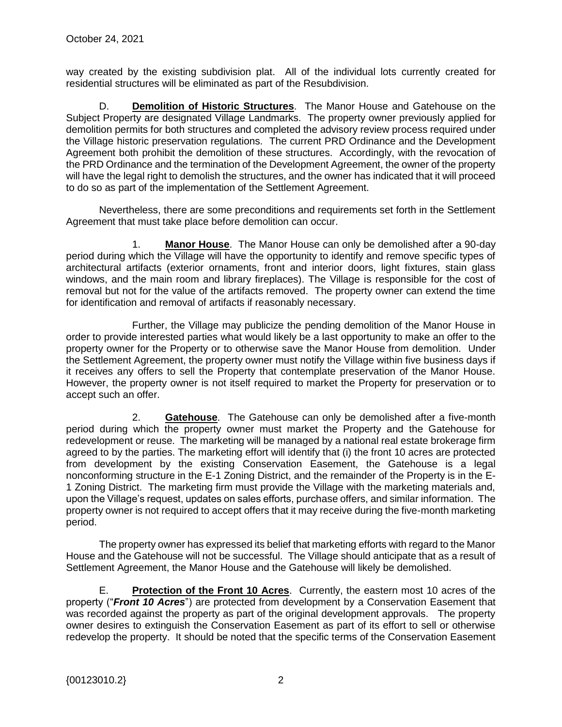way created by the existing subdivision plat. All of the individual lots currently created for residential structures will be eliminated as part of the Resubdivision.

D. **Demolition of Historic Structures**. The Manor House and Gatehouse on the Subject Property are designated Village Landmarks. The property owner previously applied for demolition permits for both structures and completed the advisory review process required under the Village historic preservation regulations. The current PRD Ordinance and the Development Agreement both prohibit the demolition of these structures. Accordingly, with the revocation of the PRD Ordinance and the termination of the Development Agreement, the owner of the property will have the legal right to demolish the structures, and the owner has indicated that it will proceed to do so as part of the implementation of the Settlement Agreement.

Nevertheless, there are some preconditions and requirements set forth in the Settlement Agreement that must take place before demolition can occur.

1. **Manor House**. The Manor House can only be demolished after a 90-day period during which the Village will have the opportunity to identify and remove specific types of architectural artifacts (exterior ornaments, front and interior doors, light fixtures, stain glass windows, and the main room and library fireplaces). The Village is responsible for the cost of removal but not for the value of the artifacts removed. The property owner can extend the time for identification and removal of artifacts if reasonably necessary.

Further, the Village may publicize the pending demolition of the Manor House in order to provide interested parties what would likely be a last opportunity to make an offer to the property owner for the Property or to otherwise save the Manor House from demolition. Under the Settlement Agreement, the property owner must notify the Village within five business days if it receives any offers to sell the Property that contemplate preservation of the Manor House. However, the property owner is not itself required to market the Property for preservation or to accept such an offer.

2. **Gatehouse**. The Gatehouse can only be demolished after a five-month period during which the property owner must market the Property and the Gatehouse for redevelopment or reuse. The marketing will be managed by a national real estate brokerage firm agreed to by the parties. The marketing effort will identify that (i) the front 10 acres are protected from development by the existing Conservation Easement, the Gatehouse is a legal nonconforming structure in the E-1 Zoning District, and the remainder of the Property is in the E-1 Zoning District. The marketing firm must provide the Village with the marketing materials and, upon the Village's request, updates on sales efforts, purchase offers, and similar information. The property owner is not required to accept offers that it may receive during the five-month marketing period.

The property owner has expressed its belief that marketing efforts with regard to the Manor House and the Gatehouse will not be successful. The Village should anticipate that as a result of Settlement Agreement, the Manor House and the Gatehouse will likely be demolished.

E. **Protection of the Front 10 Acres**. Currently, the eastern most 10 acres of the property ("*Front 10 Acres*") are protected from development by a Conservation Easement that was recorded against the property as part of the original development approvals. The property owner desires to extinguish the Conservation Easement as part of its effort to sell or otherwise redevelop the property. It should be noted that the specific terms of the Conservation Easement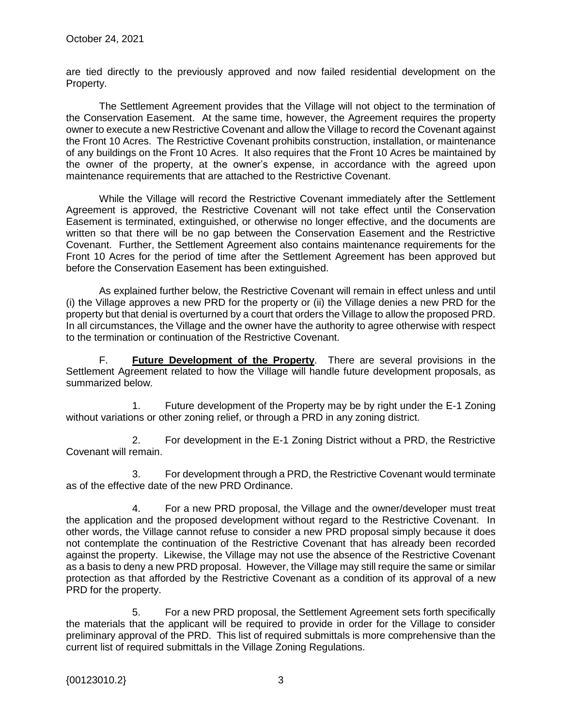are tied directly to the previously approved and now failed residential development on the Property.

The Settlement Agreement provides that the Village will not object to the termination of the Conservation Easement. At the same time, however, the Agreement requires the property owner to execute a new Restrictive Covenant and allow the Village to record the Covenant against the Front 10 Acres. The Restrictive Covenant prohibits construction, installation, or maintenance of any buildings on the Front 10 Acres. It also requires that the Front 10 Acres be maintained by the owner of the property, at the owner's expense, in accordance with the agreed upon maintenance requirements that are attached to the Restrictive Covenant.

While the Village will record the Restrictive Covenant immediately after the Settlement Agreement is approved, the Restrictive Covenant will not take effect until the Conservation Easement is terminated, extinguished, or otherwise no longer effective, and the documents are written so that there will be no gap between the Conservation Easement and the Restrictive Covenant. Further, the Settlement Agreement also contains maintenance requirements for the Front 10 Acres for the period of time after the Settlement Agreement has been approved but before the Conservation Easement has been extinguished.

As explained further below, the Restrictive Covenant will remain in effect unless and until (i) the Village approves a new PRD for the property or (ii) the Village denies a new PRD for the property but that denial is overturned by a court that orders the Village to allow the proposed PRD. In all circumstances, the Village and the owner have the authority to agree otherwise with respect to the termination or continuation of the Restrictive Covenant.

F. **Future Development of the Property**. There are several provisions in the Settlement Agreement related to how the Village will handle future development proposals, as summarized below.

1. Future development of the Property may be by right under the E-1 Zoning without variations or other zoning relief, or through a PRD in any zoning district.

2. For development in the E-1 Zoning District without a PRD, the Restrictive Covenant will remain.

3. For development through a PRD, the Restrictive Covenant would terminate as of the effective date of the new PRD Ordinance.

4. For a new PRD proposal, the Village and the owner/developer must treat the application and the proposed development without regard to the Restrictive Covenant. In other words, the Village cannot refuse to consider a new PRD proposal simply because it does not contemplate the continuation of the Restrictive Covenant that has already been recorded against the property. Likewise, the Village may not use the absence of the Restrictive Covenant as a basis to deny a new PRD proposal. However, the Village may still require the same or similar protection as that afforded by the Restrictive Covenant as a condition of its approval of a new PRD for the property.

5. For a new PRD proposal, the Settlement Agreement sets forth specifically the materials that the applicant will be required to provide in order for the Village to consider preliminary approval of the PRD. This list of required submittals is more comprehensive than the current list of required submittals in the Village Zoning Regulations.